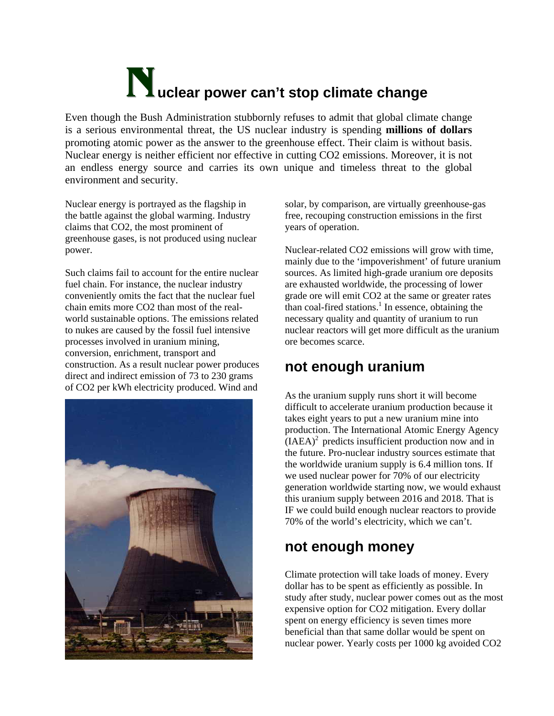# **Nuclear power can't stop climate change**

Even though the Bush Administration stubbornly refuses to admit that global climate change is a serious environmental threat, the US nuclear industry is spending **millions of dollars**  promoting atomic power as the answer to the greenhouse effect. Their claim is without basis. Nuclear energy is neither efficient nor effective in cutting CO2 emissions. Moreover, it is not an endless energy source and carries its own unique and timeless threat to the global environment and security.

Nuclear energy is portrayed as the flagship in the battle against the global warming. Industry claims that CO2, the most prominent of greenhouse gases, is not produced using nuclear power.

Such claims fail to account for the entire nuclear fuel chain. For instance, the nuclear industry conveniently omits the fact that the nuclear fuel chain emits more CO2 than most of the realworld sustainable options. The emissions related to nukes are caused by the fossil fuel intensive processes involved in uranium mining, conversion, enrichment, transport and construction. As a result nuclear power produces direct and indirect emission of 73 to 230 grams of CO2 per kWh electricity produced. Wind and



solar, by comparison, are virtually greenhouse-gas free, recouping construction emissions in the first years of operation.

Nuclear-related CO2 emissions will grow with time, mainly due to the 'impoverishment' of future uranium sources. As limited high-grade uranium ore deposits are exhausted worldwide, the processing of lower grade ore will emit CO2 at the same or greater rates than coal-fired stations. $<sup>1</sup>$  $<sup>1</sup>$  $<sup>1</sup>$  In essence, obtaining the</sup> necessary quality and quantity of uranium to run nuclear reactors will get more difficult as the uranium ore becomes scarce.

## **not enough uranium**

As the uranium supply runs short it will become difficult to accelerate uranium production because it takes eight years to put a new uranium mine into production. The International Atomic Energy Agency  $(IAEA)^2$  predicts insufficient production now and in the future. Pro-nuclear industry sources estimate that the worldwide uranium supply is 6.4 million tons. If we used nuclear power for 70% of our electricity generation worldwide starting now, we would exhaust this uranium supply between 2016 and 2018. That is IF we could build enough nuclear reactors to provide 70% of the world's electricity, which we can't.

## **not enough money**

Climate protection will take loads of money. Every dollar has to be spent as efficiently as possible. In study after study, nuclear power comes out as the most expensive option for CO2 mitigation. Every dollar spent on energy efficiency is seven times more beneficial than that same dollar would be spent on nuclear power. Yearly costs per 1000 kg avoided CO2